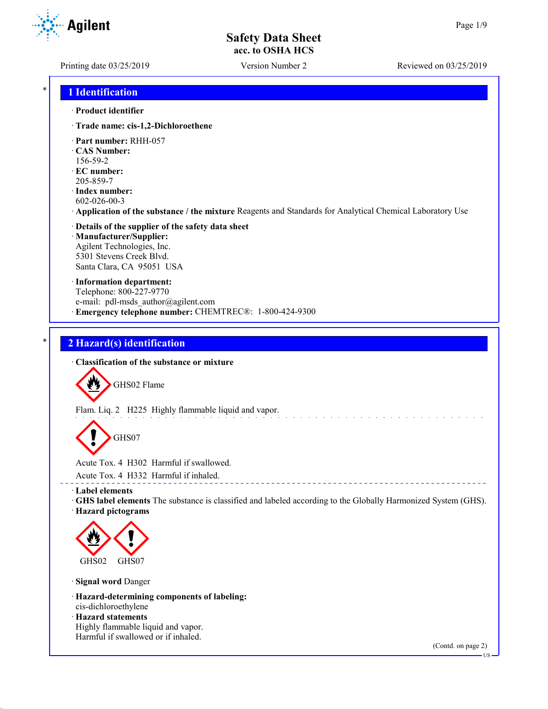**Agilent** 

Printing date 03/25/2019 Version Number 2 Reviewed on 03/25/2019

### \* **1 Identification**

#### · **Product identifier**

· **Trade name: cis-1,2-Dichloroethene**

- · **Part number:** RHH-057
- · **CAS Number:**
- 156-59-2
- · **EC number:** 205-859-7
- · **Index number:** 602-026-00-3
- · **Application of the substance / the mixture** Reagents and Standards for Analytical Chemical Laboratory Use
- · **Details of the supplier of the safety data sheet** · **Manufacturer/Supplier:** Agilent Technologies, Inc. 5301 Stevens Creek Blvd. Santa Clara, CA 95051 USA
- · **Information department:** Telephone: 800-227-9770 e-mail: pdl-msds author@agilent.com · **Emergency telephone number:** CHEMTREC®: 1-800-424-9300

# \* **2 Hazard(s) identification**

· **Classification of the substance or mixture**

GHS02 Flame

Flam. Liq. 2 H225 Highly flammable liquid and vapor.

GHS07

Acute Tox. 4 H302 Harmful if swallowed.

Acute Tox. 4 H332 Harmful if inhaled.

· **Label elements**

- · **GHS label elements** The substance is classified and labeled according to the Globally Harmonized System (GHS).
- · **Hazard pictograms**



· **Signal word** Danger

· **Hazard-determining components of labeling:**

cis-dichloroethylene

· **Hazard statements** Highly flammable liquid and vapor. Harmful if swallowed or if inhaled.

(Contd. on page 2)

US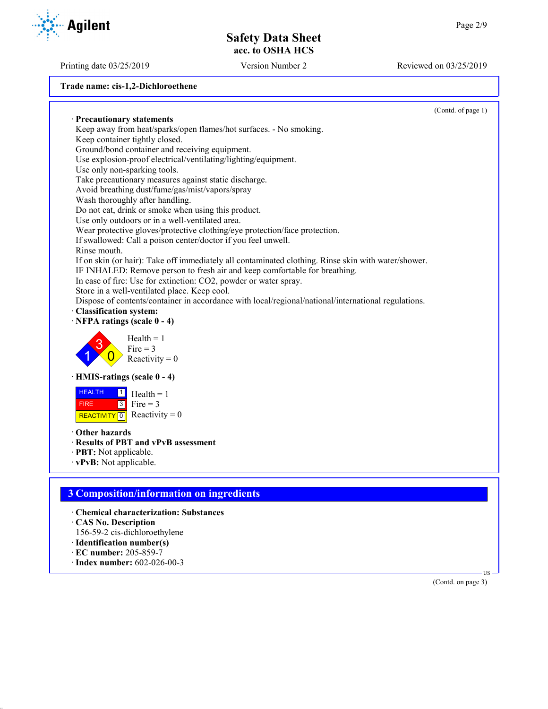Printing date 03/25/2019 Version Number 2 Reviewed on 03/25/2019

**Trade name: cis-1,2-Dichloroethene** (Contd. of page 1) · **Precautionary statements** Keep away from heat/sparks/open flames/hot surfaces. - No smoking. Keep container tightly closed. Ground/bond container and receiving equipment. Use explosion-proof electrical/ventilating/lighting/equipment. Use only non-sparking tools. Take precautionary measures against static discharge. Avoid breathing dust/fume/gas/mist/vapors/spray Wash thoroughly after handling. Do not eat, drink or smoke when using this product. Use only outdoors or in a well-ventilated area. Wear protective gloves/protective clothing/eye protection/face protection. If swallowed: Call a poison center/doctor if you feel unwell. Rinse mouth. If on skin (or hair): Take off immediately all contaminated clothing. Rinse skin with water/shower. IF INHALED: Remove person to fresh air and keep comfortable for breathing. In case of fire: Use for extinction: CO2, powder or water spray. Store in a well-ventilated place. Keep cool. Dispose of contents/container in accordance with local/regional/national/international regulations. · **Classification system:** · **NFPA ratings (scale 0 - 4)** 1 3  $\overline{0}$  $Health = 1$  $Fire = 3$ Reactivity  $= 0$ · **HMIS-ratings (scale 0 - 4)** HEALTH FIRE REACTIVITY  $\boxed{0}$  Reactivity = 0  $\frac{1}{\Box}$  Health = 1  $3$  Fire = 3 · **Other hazards** · **Results of PBT and vPvB assessment** · **PBT:** Not applicable. · **vPvB:** Not applicable. **3 Composition/information on ingredients** · **Chemical characterization: Substances** · **CAS No. Description** 156-59-2 cis-dichloroethylene · **Identification number(s)** · **EC number:** 205-859-7 · **Index number:** 602-026-00-3



US

(Contd. on page 3)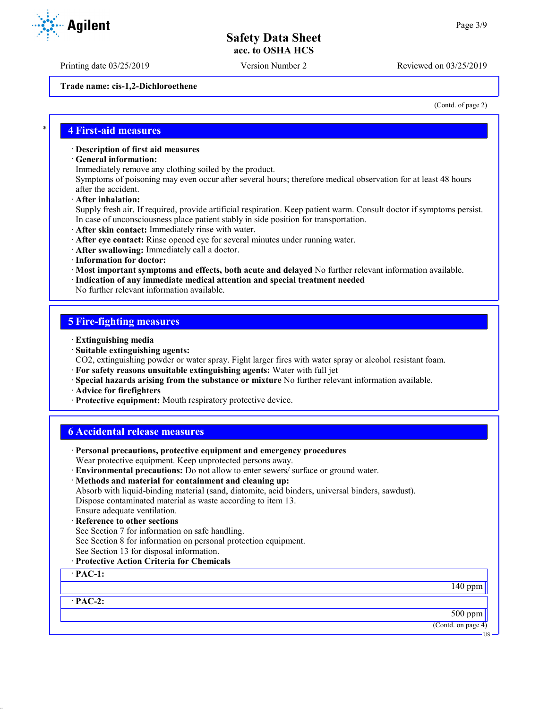Printing date 03/25/2019 Version Number 2 Reviewed on 03/25/2019

**Trade name: cis-1,2-Dichloroethene**

(Contd. of page 2)

### \* **4 First-aid measures**

#### · **Description of first aid measures**

· **General information:**

Immediately remove any clothing soiled by the product.

Symptoms of poisoning may even occur after several hours; therefore medical observation for at least 48 hours after the accident.

· **After inhalation:**

Supply fresh air. If required, provide artificial respiration. Keep patient warm. Consult doctor if symptoms persist. In case of unconsciousness place patient stably in side position for transportation.

· **After skin contact:** Immediately rinse with water.

· **After eye contact:** Rinse opened eye for several minutes under running water.

- · **After swallowing:** Immediately call a doctor.
- · **Information for doctor:**

· **Most important symptoms and effects, both acute and delayed** No further relevant information available.

· **Indication of any immediate medical attention and special treatment needed**

No further relevant information available.

### **5 Fire-fighting measures**

- · **Extinguishing media**
- · **Suitable extinguishing agents:**

CO2, extinguishing powder or water spray. Fight larger fires with water spray or alcohol resistant foam.

- · **For safety reasons unsuitable extinguishing agents:** Water with full jet
- · **Special hazards arising from the substance or mixture** No further relevant information available.
- · **Advice for firefighters**
- · **Protective equipment:** Mouth respiratory protective device.

| <b>6 Accidental release measures</b>                                                             |                    |
|--------------------------------------------------------------------------------------------------|--------------------|
| · Personal precautions, protective equipment and emergency procedures                            |                    |
| Wear protective equipment. Keep unprotected persons away.                                        |                    |
| · Environmental precautions: Do not allow to enter sewers/ surface or ground water.              |                    |
| · Methods and material for containment and cleaning up:                                          |                    |
| Absorb with liquid-binding material (sand, diatomite, acid binders, universal binders, sawdust). |                    |
| Dispose contaminated material as waste according to item 13.                                     |                    |
| Ensure adequate ventilation.                                                                     |                    |
| · Reference to other sections                                                                    |                    |
| See Section 7 for information on safe handling.                                                  |                    |
| See Section 8 for information on personal protection equipment.                                  |                    |
| See Section 13 for disposal information.                                                         |                    |
| · Protective Action Criteria for Chemicals                                                       |                    |
| $\cdot$ PAC-1:                                                                                   |                    |
|                                                                                                  | $140$ ppm          |
| $\cdot$ PAC-2:                                                                                   |                    |
|                                                                                                  | 500 ppm            |
|                                                                                                  | (Contd. on page 4) |

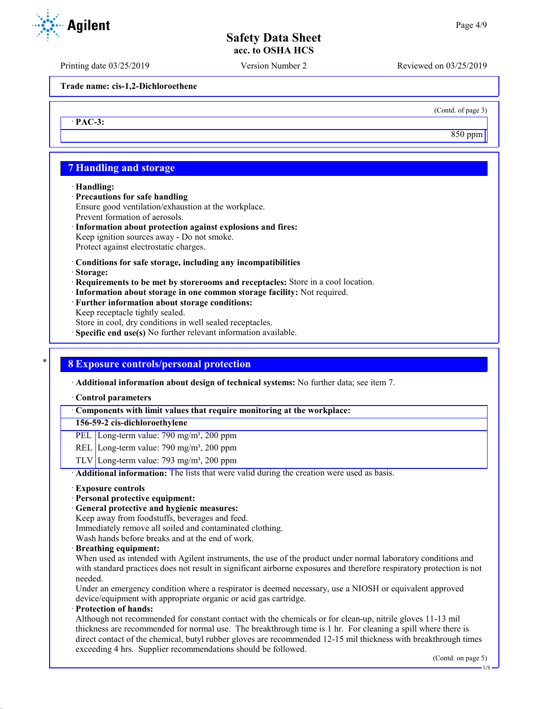Printing date 03/25/2019 Version Number 2 Reviewed on 03/25/2019

**Trade name: cis-1,2-Dichloroethene**

· **PAC-3:**

(Contd. of page 3)

850 ppm

### **7 Handling and storage**

#### · **Handling:**

- · **Precautions for safe handling** Ensure good ventilation/exhaustion at the workplace. Prevent formation of aerosols.
- · **Information about protection against explosions and fires:** Keep ignition sources away - Do not smoke. Protect against electrostatic charges.
- · **Conditions for safe storage, including any incompatibilities**
- · **Storage:**
- · **Requirements to be met by storerooms and receptacles:** Store in a cool location.
- · **Information about storage in one common storage facility:** Not required.
- · **Further information about storage conditions:** Keep receptacle tightly sealed. Store in cool, dry conditions in well sealed receptacles.
- · **Specific end use(s)** No further relevant information available.

### \* **8 Exposure controls/personal protection**

· **Additional information about design of technical systems:** No further data; see item 7.

#### · **Control parameters**

· **Components with limit values that require monitoring at the workplace:**

### **156-59-2 cis-dichloroethylene**

- PEL Long-term value: 790 mg/m<sup>3</sup>, 200 ppm
- REL Long-term value: 790 mg/m<sup>3</sup>, 200 ppm
- TLV Long-term value:  $793 \text{ mg/m}^3$ ,  $200 \text{ ppm}$

· **Additional information:** The lists that were valid during the creation were used as basis.

### · **Exposure controls**

- · **Personal protective equipment:**
- · **General protective and hygienic measures:**

Keep away from foodstuffs, beverages and feed.

Immediately remove all soiled and contaminated clothing.

Wash hands before breaks and at the end of work.

· **Breathing equipment:**

When used as intended with Agilent instruments, the use of the product under normal laboratory conditions and with standard practices does not result in significant airborne exposures and therefore respiratory protection is not needed.

Under an emergency condition where a respirator is deemed necessary, use a NIOSH or equivalent approved device/equipment with appropriate organic or acid gas cartridge.

· **Protection of hands:**

Although not recommended for constant contact with the chemicals or for clean-up, nitrile gloves 11-13 mil thickness are recommended for normal use. The breakthrough time is 1 hr. For cleaning a spill where there is direct contact of the chemical, butyl rubber gloves are recommended 12-15 mil thickness with breakthrough times exceeding 4 hrs. Supplier recommendations should be followed.

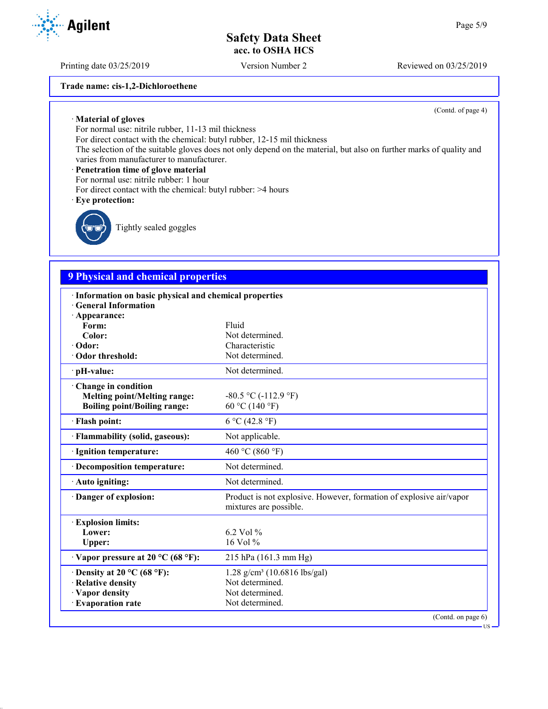Printing date 03/25/2019 Version Number 2 Reviewed on 03/25/2019

**Trade name: cis-1,2-Dichloroethene**

(Contd. of page 4)

US

· **Material of gloves**

For normal use: nitrile rubber, 11-13 mil thickness

For direct contact with the chemical: butyl rubber, 12-15 mil thickness

The selection of the suitable gloves does not only depend on the material, but also on further marks of quality and varies from manufacturer to manufacturer.

#### · **Penetration time of glove material**

For normal use: nitrile rubber: 1 hour

For direct contact with the chemical: butyl rubber: >4 hours

#### · **Eye protection:**



Tightly sealed goggles

# **9 Physical and chemical properties**

| · Information on basic physical and chemical properties |                                                                                               |
|---------------------------------------------------------|-----------------------------------------------------------------------------------------------|
| · General Information                                   |                                                                                               |
| · Appearance:                                           | Fluid                                                                                         |
| Form:<br>Color:                                         | Not determined.                                                                               |
| · Odor:                                                 | Characteristic                                                                                |
| · Odor threshold:                                       | Not determined.                                                                               |
|                                                         | Not determined.                                                                               |
| · pH-value:                                             |                                                                                               |
| Change in condition                                     |                                                                                               |
| <b>Melting point/Melting range:</b>                     | $-80.5$ °C ( $-112.9$ °F)                                                                     |
| <b>Boiling point/Boiling range:</b>                     | 60 °C (140 °F)                                                                                |
| · Flash point:                                          | 6 °C (42.8 °F)                                                                                |
| · Flammability (solid, gaseous):                        | Not applicable.                                                                               |
| · Ignition temperature:                                 | 460 °C (860 °F)                                                                               |
| · Decomposition temperature:                            | Not determined.                                                                               |
| · Auto igniting:                                        | Not determined.                                                                               |
| Danger of explosion:                                    | Product is not explosive. However, formation of explosive air/vapor<br>mixtures are possible. |
| <b>Explosion limits:</b>                                |                                                                                               |
| Lower:                                                  | 6.2 Vol $%$                                                                                   |
| Upper:                                                  | 16 Vol %                                                                                      |
| $\cdot$ Vapor pressure at 20 °C (68 °F):                | $215$ hPa $(161.3$ mm Hg)                                                                     |
| $\cdot$ Density at 20 °C (68 °F):                       | $1.28$ g/cm <sup>3</sup> (10.6816 lbs/gal)                                                    |
| · Relative density                                      | Not determined.                                                                               |
| · Vapor density                                         | Not determined.                                                                               |
| <b>Evaporation rate</b>                                 | Not determined.                                                                               |
|                                                         | (Contd. on page 6)                                                                            |

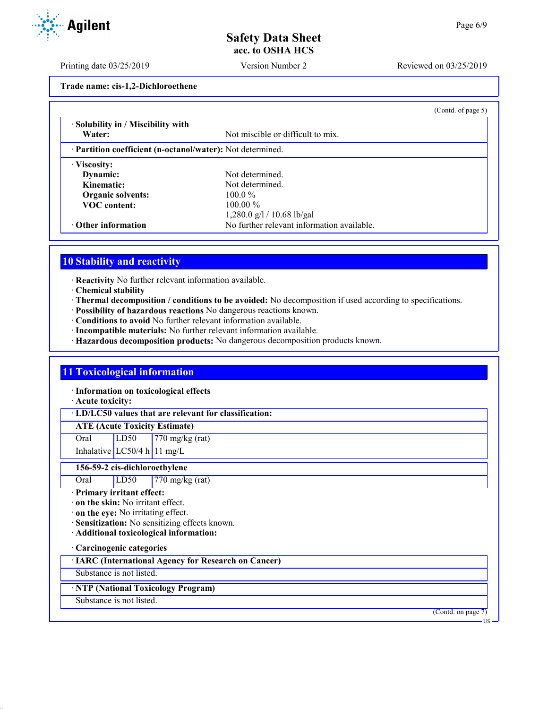Printing date 03/25/2019 Version Number 2 Reviewed on 03/25/2019

**Trade name: cis-1,2-Dichloroethene**

| · Solubility in / Miscibility with                         |                                            |  |
|------------------------------------------------------------|--------------------------------------------|--|
| Water:                                                     | Not miscible or difficult to mix.          |  |
| · Partition coefficient (n-octanol/water): Not determined. |                                            |  |
| · Viscosity:                                               |                                            |  |
| Dynamic:                                                   | Not determined.                            |  |
| Kinematic:                                                 | Not determined.                            |  |
| Organic solvents:                                          | $100.0\%$                                  |  |
| <b>VOC</b> content:                                        | $100.00\%$                                 |  |
|                                                            | 1,280.0 g/l / 10.68 lb/gal                 |  |
| $\cdot$ Other information                                  | No further relevant information available. |  |

### **10 Stability and reactivity**

· **Reactivity** No further relevant information available.

- · **Chemical stability**
- · **Thermal decomposition / conditions to be avoided:** No decomposition if used according to specifications.
- · **Possibility of hazardous reactions** No dangerous reactions known.
- · **Conditions to avoid** No further relevant information available.
- · **Incompatible materials:** No further relevant information available.
- · **Hazardous decomposition products:** No dangerous decomposition products known.

### **11 Toxicological information**

· **Information on toxicological effects**

· **Acute toxicity:**

· **LD/LC50 values that are relevant for classification:**

**ATE (Acute Toxicity Estimate)**

Oral LD50 770 mg/kg (rat)

Inhalative  $LC50/4$  h 11 mg/L

**156-59-2 cis-dichloroethylene**

| $770$ mg/kg (rat)<br>Oral<br>LD50 |
|-----------------------------------|
|-----------------------------------|

· **Primary irritant effect:**

· **on the skin:** No irritant effect.

· **on the eye:** No irritating effect.

- · **Sensitization:** No sensitizing effects known.
- · **Additional toxicological information:**

· **Carcinogenic categories**

· **IARC (International Agency for Research on Cancer)**

Substance is not listed.

· **NTP (National Toxicology Program)**

Substance is not listed.

(Contd. on page 7)

US

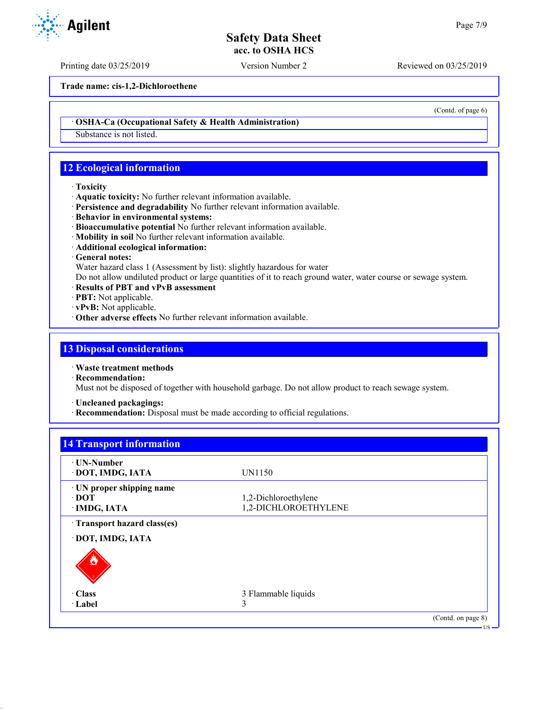Printing date 03/25/2019 Version Number 2 Reviewed on 03/25/2019

**Trade name: cis-1,2-Dichloroethene**

· **OSHA-Ca (Occupational Safety & Health Administration)**

Substance is not listed.

### **12 Ecological information**

- · **Toxicity**
- · **Aquatic toxicity:** No further relevant information available.
- · **Persistence and degradability** No further relevant information available.
- · **Behavior in environmental systems:**
- · **Bioaccumulative potential** No further relevant information available.
- · **Mobility in soil** No further relevant information available.
- · **Additional ecological information:**
- · **General notes:**

Water hazard class 1 (Assessment by list): slightly hazardous for water

Do not allow undiluted product or large quantities of it to reach ground water, water course or sewage system.

- · **Results of PBT and vPvB assessment**
- · **PBT:** Not applicable.
- · **vPvB:** Not applicable.
- · **Other adverse effects** No further relevant information available.

### **13 Disposal considerations**

- · **Waste treatment methods**
- · **Recommendation:**

Must not be disposed of together with household garbage. Do not allow product to reach sewage system.

- · **Uncleaned packagings:**
- · **Recommendation:** Disposal must be made according to official regulations.

# **14 Transport information**

| · UN-Number<br>· DOT, IMDG, IATA                   | UN1150                                       |                    |
|----------------------------------------------------|----------------------------------------------|--------------------|
| · UN proper shipping name<br>∙ DOT<br>· IMDG, IATA | 1,2-Dichloroethylene<br>1,2-DICHLOROETHYLENE |                    |
| · Transport hazard class(es)                       |                                              |                    |
| · DOT, IMDG, IATA                                  |                                              |                    |
| O                                                  |                                              |                    |
| · Class                                            | 3 Flammable liquids                          |                    |
| · Label                                            | 3                                            |                    |
|                                                    |                                              | (Contd. on page 8) |



(Contd. of page 6)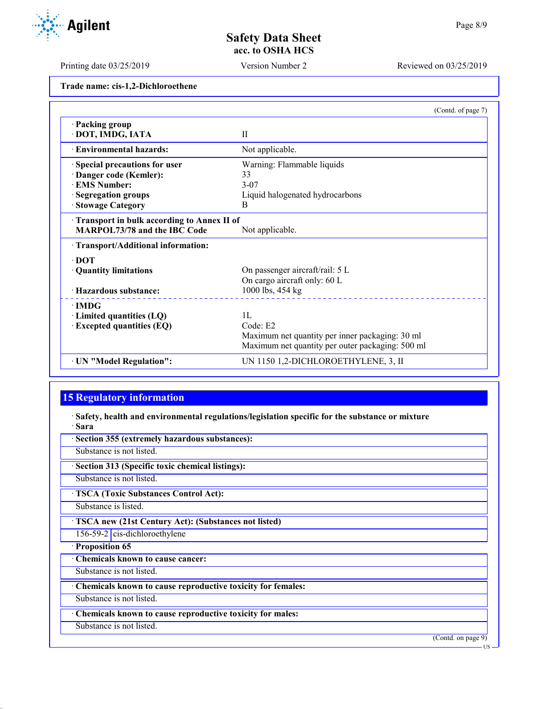US

# **Safety Data Sheet acc. to OSHA HCS**

Printing date 03/25/2019 Version Number 2 Reviewed on 03/25/2019

**Trade name: cis-1,2-Dichloroethene**

|                                            | (Contd. of page 7)                               |  |
|--------------------------------------------|--------------------------------------------------|--|
| · Packing group                            |                                                  |  |
| · DOT, IMDG, IATA                          | $\mathbf{I}$                                     |  |
| · Environmental hazards:                   | Not applicable.                                  |  |
| Special precautions for user               | Warning: Flammable liquids                       |  |
| Danger code (Kemler):                      | 33                                               |  |
| <b>EMS Number:</b>                         | $3-07$                                           |  |
| · Segregation groups                       | Liquid halogenated hydrocarbons                  |  |
| · Stowage Category                         | B                                                |  |
| Transport in bulk according to Annex II of |                                                  |  |
| <b>MARPOL73/78 and the IBC Code</b>        | Not applicable.                                  |  |
| · Transport/Additional information:        |                                                  |  |
| $\cdot$ DOT                                |                                                  |  |
| · Quantity limitations                     | On passenger aircraft/rail: 5 L                  |  |
|                                            | On cargo aircraft only: 60 L                     |  |
| · Hazardous substance:                     | 1000 lbs, 454 kg                                 |  |
| $\cdot$ IMDG                               |                                                  |  |
| $\cdot$ Limited quantities (LQ)            | 1L                                               |  |
| $\cdot$ Excepted quantities (EQ)           | Code: E2                                         |  |
|                                            | Maximum net quantity per inner packaging: 30 ml  |  |
|                                            | Maximum net quantity per outer packaging: 500 ml |  |
| · UN "Model Regulation":                   | UN 1150 1,2-DICHLOROETHYLENE, 3, II              |  |

# **15 Regulatory information**

· **Safety, health and environmental regulations/legislation specific for the substance or mixture** · **Sara**

| · Section 355 (extremely hazardous substances):             |
|-------------------------------------------------------------|
| Substance is not listed.                                    |
| · Section 313 (Specific toxic chemical listings):           |
| Substance is not listed.                                    |
| <b>TSCA (Toxic Substances Control Act):</b>                 |
| Substance is listed.                                        |
| ' TSCA new (21st Century Act): (Substances not listed)      |
| $156-59-2$ cis-dichloroethylene                             |
| · Proposition 65                                            |
| Chemicals known to cause cancer:                            |
| Substance is not listed.                                    |
| Chemicals known to cause reproductive toxicity for females: |
| Substance is not listed.                                    |
| Chemicals known to cause reproductive toxicity for males:   |
| Substance is not listed.                                    |
| (Contd. on page 9)                                          |